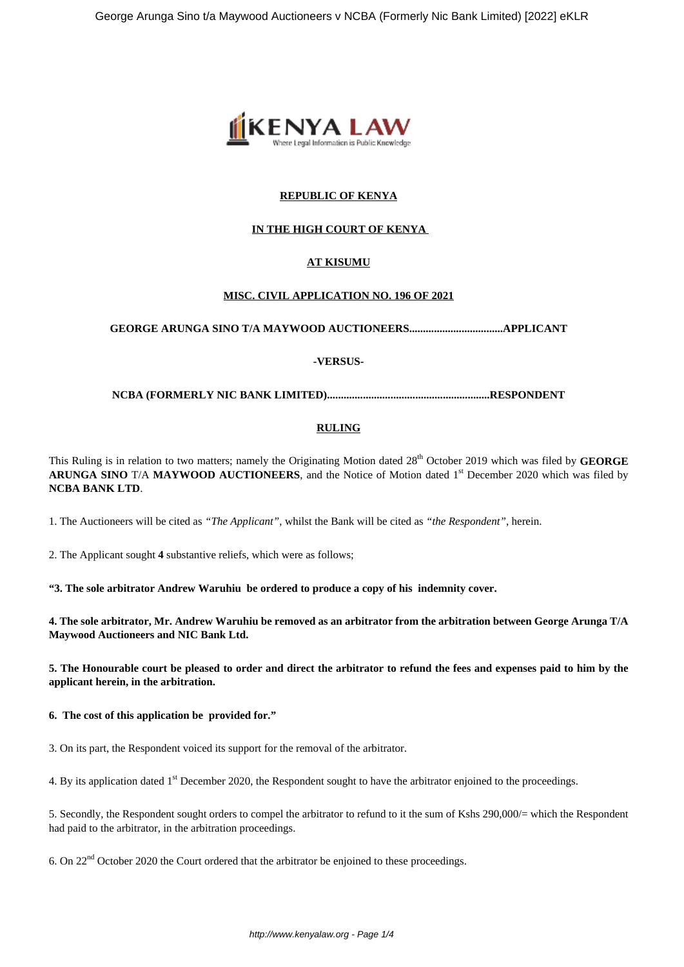

## **REPUBLIC OF KENYA**

## **IN THE HIGH COURT OF KENYA**

## **AT KISUMU**

## **MISC. CIVIL APPLICATION NO. 196 OF 2021**

**GEORGE ARUNGA SINO T/A MAYWOOD AUCTIONEERS..................................APPLICANT**

## **-VERSUS-**

**NCBA (FORMERLY NIC BANK LIMITED)...........................................................RESPONDENT**

## **RULING**

This Ruling is in relation to two matters; namely the Originating Motion dated 28<sup>th</sup> October 2019 which was filed by **GEORGE ARUNGA SINO** T/A **MAYWOOD AUCTIONEERS**, and the Notice of Motion dated 1st December 2020 which was filed by **NCBA BANK LTD**.

1. The Auctioneers will be cited as *"The Applicant"*, whilst the Bank will be cited as *"the Respondent"*, herein.

2. The Applicant sought **4** substantive reliefs, which were as follows;

**"3. The sole arbitrator Andrew Waruhiu be ordered to produce a copy of his indemnity cover.**

**4. The sole arbitrator, Mr. Andrew Waruhiu be removed as an arbitrator from the arbitration between George Arunga T/A Maywood Auctioneers and NIC Bank Ltd.**

**5. The Honourable court be pleased to order and direct the arbitrator to refund the fees and expenses paid to him by the applicant herein, in the arbitration.**

**6. The cost of this application be provided for."**

3. On its part, the Respondent voiced its support for the removal of the arbitrator.

4. By its application dated 1<sup>st</sup> December 2020, the Respondent sought to have the arbitrator enjoined to the proceedings.

5. Secondly, the Respondent sought orders to compel the arbitrator to refund to it the sum of Kshs 290,000/= which the Respondent had paid to the arbitrator, in the arbitration proceedings.

6. On 22nd October 2020 the Court ordered that the arbitrator be enjoined to these proceedings.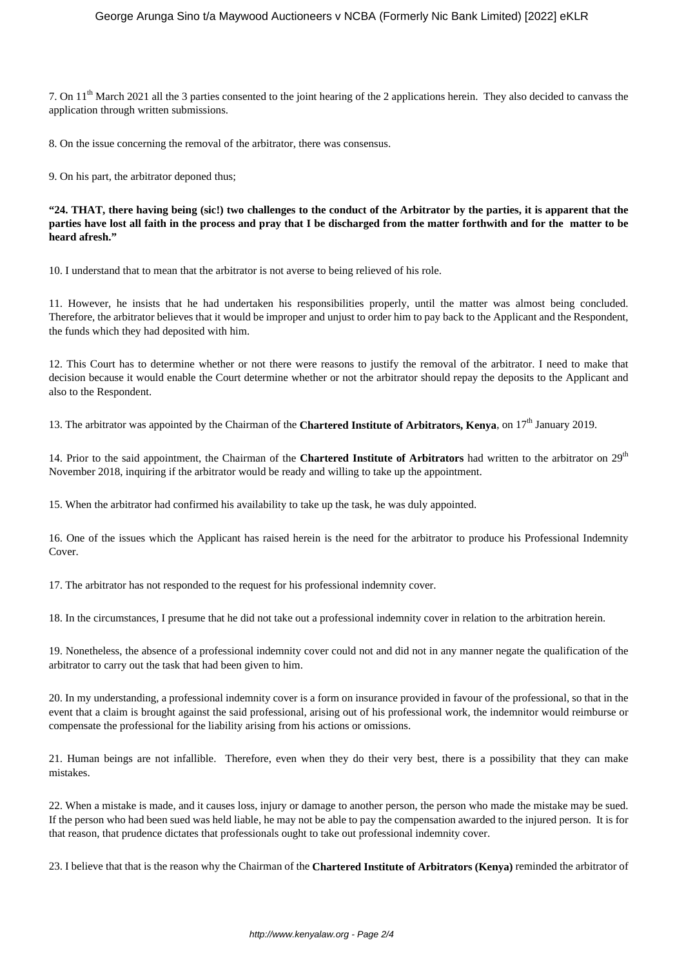7. On 11th March 2021 all the 3 parties consented to the joint hearing of the 2 applications herein. They also decided to canvass the application through written submissions.

8. On the issue concerning the removal of the arbitrator, there was consensus.

9. On his part, the arbitrator deponed thus;

**"24. THAT, there having being (sic!) two challenges to the conduct of the Arbitrator by the parties, it is apparent that the parties have lost all faith in the process and pray that I be discharged from the matter forthwith and for the matter to be heard afresh."**

10. I understand that to mean that the arbitrator is not averse to being relieved of his role.

11. However, he insists that he had undertaken his responsibilities properly, until the matter was almost being concluded. Therefore, the arbitrator believes that it would be improper and unjust to order him to pay back to the Applicant and the Respondent, the funds which they had deposited with him.

12. This Court has to determine whether or not there were reasons to justify the removal of the arbitrator. I need to make that decision because it would enable the Court determine whether or not the arbitrator should repay the deposits to the Applicant and also to the Respondent.

13. The arbitrator was appointed by the Chairman of the **Chartered Institute of Arbitrators, Kenya**, on 17th January 2019.

14. Prior to the said appointment, the Chairman of the **Chartered Institute of Arbitrators** had written to the arbitrator on 29th November 2018, inquiring if the arbitrator would be ready and willing to take up the appointment.

15. When the arbitrator had confirmed his availability to take up the task, he was duly appointed.

16. One of the issues which the Applicant has raised herein is the need for the arbitrator to produce his Professional Indemnity Cover.

17. The arbitrator has not responded to the request for his professional indemnity cover.

18. In the circumstances, I presume that he did not take out a professional indemnity cover in relation to the arbitration herein.

19. Nonetheless, the absence of a professional indemnity cover could not and did not in any manner negate the qualification of the arbitrator to carry out the task that had been given to him.

20. In my understanding, a professional indemnity cover is a form on insurance provided in favour of the professional, so that in the event that a claim is brought against the said professional, arising out of his professional work, the indemnitor would reimburse or compensate the professional for the liability arising from his actions or omissions.

21. Human beings are not infallible. Therefore, even when they do their very best, there is a possibility that they can make mistakes.

22. When a mistake is made, and it causes loss, injury or damage to another person, the person who made the mistake may be sued. If the person who had been sued was held liable, he may not be able to pay the compensation awarded to the injured person. It is for that reason, that prudence dictates that professionals ought to take out professional indemnity cover.

23. I believe that that is the reason why the Chairman of the **Chartered Institute of Arbitrators (Kenya)** reminded the arbitrator of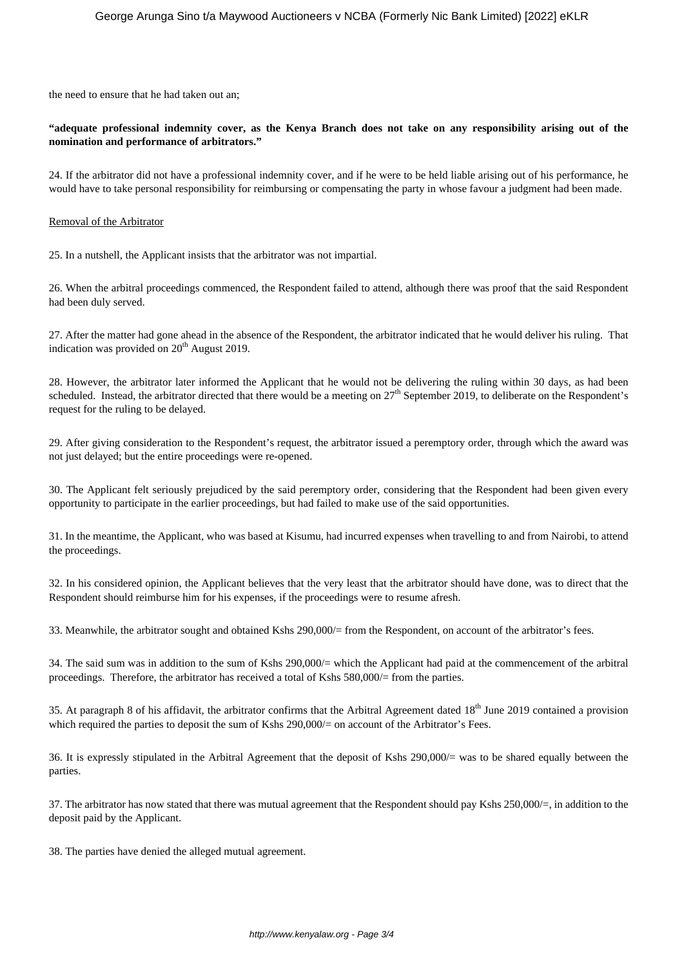the need to ensure that he had taken out an;

## **"adequate professional indemnity cover, as the Kenya Branch does not take on any responsibility arising out of the nomination and performance of arbitrators."**

24. If the arbitrator did not have a professional indemnity cover, and if he were to be held liable arising out of his performance, he would have to take personal responsibility for reimbursing or compensating the party in whose favour a judgment had been made.

### Removal of the Arbitrator

25. In a nutshell, the Applicant insists that the arbitrator was not impartial.

26. When the arbitral proceedings commenced, the Respondent failed to attend, although there was proof that the said Respondent had been duly served.

27. After the matter had gone ahead in the absence of the Respondent, the arbitrator indicated that he would deliver his ruling. That indication was provided on  $20<sup>th</sup>$  August 2019.

28. However, the arbitrator later informed the Applicant that he would not be delivering the ruling within 30 days, as had been scheduled. Instead, the arbitrator directed that there would be a meeting on  $27<sup>th</sup>$  September 2019, to deliberate on the Respondent's request for the ruling to be delayed.

29. After giving consideration to the Respondent's request, the arbitrator issued a peremptory order, through which the award was not just delayed; but the entire proceedings were re-opened.

30. The Applicant felt seriously prejudiced by the said peremptory order, considering that the Respondent had been given every opportunity to participate in the earlier proceedings, but had failed to make use of the said opportunities.

31. In the meantime, the Applicant, who was based at Kisumu, had incurred expenses when travelling to and from Nairobi, to attend the proceedings.

32. In his considered opinion, the Applicant believes that the very least that the arbitrator should have done, was to direct that the Respondent should reimburse him for his expenses, if the proceedings were to resume afresh.

33. Meanwhile, the arbitrator sought and obtained Kshs 290,000/= from the Respondent, on account of the arbitrator's fees.

34. The said sum was in addition to the sum of Kshs 290,000/= which the Applicant had paid at the commencement of the arbitral proceedings. Therefore, the arbitrator has received a total of Kshs 580,000/= from the parties.

35. At paragraph 8 of his affidavit, the arbitrator confirms that the Arbitral Agreement dated 18<sup>th</sup> June 2019 contained a provision which required the parties to deposit the sum of Kshs 290,000/= on account of the Arbitrator's Fees.

36. It is expressly stipulated in the Arbitral Agreement that the deposit of Kshs 290,000/= was to be shared equally between the parties.

37. The arbitrator has now stated that there was mutual agreement that the Respondent should pay Kshs 250,000/=, in addition to the deposit paid by the Applicant.

38. The parties have denied the alleged mutual agreement.